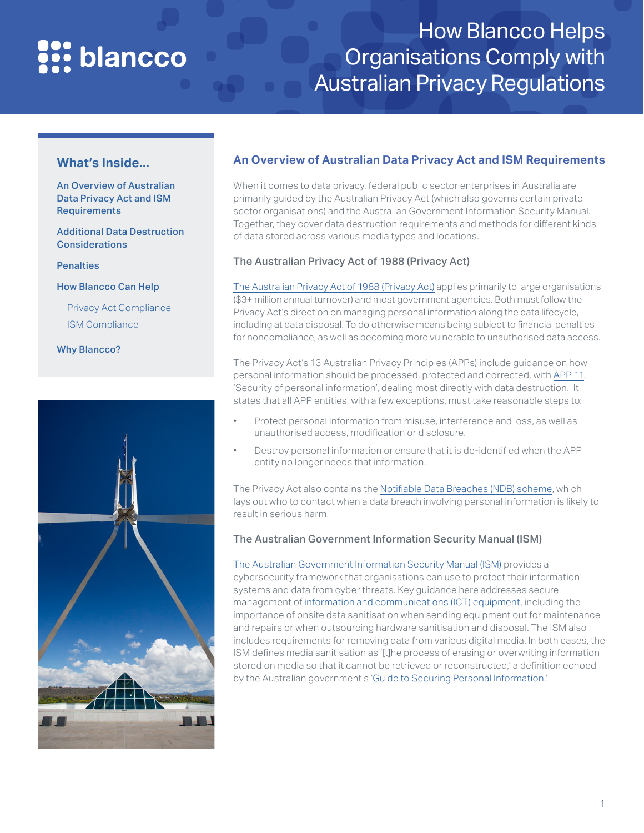# **Pr:** blancco

## How Blancco Helps Organisations Comply with Australian Privacy Regulations

#### **What's Inside...**

An Overview of Australian Data Privacy Act and ISM Requirements

[Additional Data Destruction](#page-1-0)  **[Considerations](#page-1-0)** 

[Penalties](#page-1-1)

[How Blancco Can Help](#page-2-0)

[Privacy Act Compliance](#page-3-0) [ISM Compliance](#page-7-0)

[Why Blancco?](#page-8-0)



### **An Overview of Australian Data Privacy Act and ISM Requirements**

When it comes to data privacy, federal public sector enterprises in Australia are primarily guided by the Australian Privacy Act (which also governs certain private sector organisations) and the Australian Government Information Security Manual. Together, they cover data destruction requirements and methods for different kinds of data stored across various media types and locations.

#### The Australian Privacy Act of 1988 (Privacy Act)

[The Australian Privacy Act of 1988 \(Privacy Act\)](https://www.legislation.gov.au/Details/C2020C00237) applies primarily to large organisations (\$3+ million annual turnover) and most government agencies. Both must follow the Privacy Act's direction on managing personal information along the data lifecycle, including at data disposal. To do otherwise means being subject to financial penalties for noncompliance, as well as becoming more vulnerable to unauthorised data access.

The Privacy Act's 13 Australian Privacy Principles (APPs) include guidance on how personal information should be processed, protected and corrected, with [APP 11](https://www.oaic.gov.au/privacy/australian-privacy-principles-guidelines/chapter-11-app-11-security-of-personal-information/), 'Security of personal information', dealing most directly with data destruction. It states that all APP entities, with a few exceptions, must take reasonable steps to:

- Protect personal information from misuse, interference and loss, as well as unauthorised access, modification or disclosure.
- Destroy personal information or ensure that it is de-identified when the APP entity no longer needs that information.

The Privacy Act also contains the [Notifiable Data Breaches \(NDB\) scheme](https://www.blancco.com/resources/sb-how-does-blancco-help-organizations-comply-with-australias-notifiable-data-breaches-scheme/), which lays out who to contact when a data breach involving personal information is likely to result in serious harm.

#### The Australian Government Information Security Manual (ISM)

[The Australian Government Information Security Manual \(ISM\)](https://www.cyber.gov.au/acsc/view-all-content/ism) provides a cybersecurity framework that organisations can use to protect their information systems and data from cyber threats. Key guidance here addresses secure management of [information and communications \(ICT\) equipment,](#page-7-0) including the importance of onsite data sanitisation when sending equipment out for maintenance and repairs or when outsourcing hardware sanitisation and disposal. The ISM also includes requirements for removing data from various digital media. In both cases, the ISM defines media sanitisation as '[t]he process of erasing or overwriting information stored on media so that it cannot be retrieved or reconstructed,' a definition echoed by the Australian government's '[Guide to Securing Personal Information.](https://www.oaic.gov.au/privacy/guidance-and-advice/guide-to-securing-personal-information/)'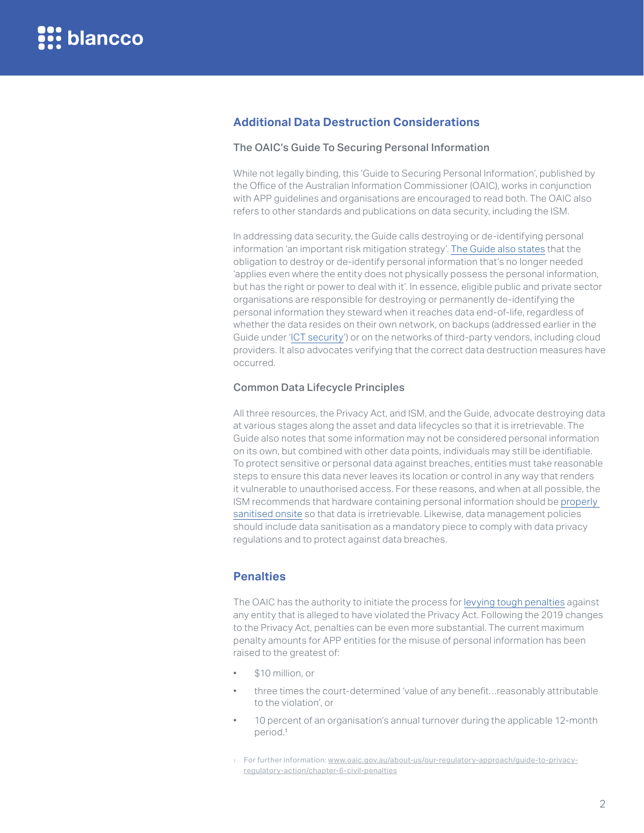#### <span id="page-1-0"></span>**Additional Data Destruction Considerations**

#### The OAIC's Guide To Securing Personal Information

While not legally binding, this 'Guide to Securing Personal Information', published by the Office of the Australian Information Commissioner (OAIC), works in conjunction with APP guidelines and organisations are encouraged to read both. The OAIC also refers to other standards and publications on data security, including the ISM.

In addressing data security, the Guide calls destroying or de-identifying personal information 'an important risk mitigation strategy'. [The Guide also states](https://www.oaic.gov.au/privacy/guidance-and-advice/guide-to-securing-personal-information/#destruction-or-de-identification-of-personal-information) that the obligation to destroy or de-identify personal information that's no longer needed 'applies even where the entity does not physically possess the personal information, but has the right or power to deal with it'. In essence, eligible public and private sector organisations are responsible for destroying or permanently de-identifying the personal information they steward when it reaches data end-of-life, regardless of whether the data resides on their own network, on backups (addressed earlier in the Guide under '[ICT security](https://www.oaic.gov.au/privacy/guidance-and-advice/guide-to-securing-personal-information/#ict-security)') or on the networks of third-party vendors, including cloud providers. It also advocates verifying that the correct data destruction measures have occurred.

#### Common Data Lifecycle Principles

All three resources, the Privacy Act, and ISM, and the Guide, advocate destroying data at various stages along the asset and data lifecycles so that it is irretrievable. The Guide also notes that some information may not be considered personal information on its own, but combined with other data points, individuals may still be identifiable. To protect sensitive or personal data against breaches, entities must take reasonable steps to ensure this data never leaves its location or control in any way that renders it vulnerable to unauthorised access. For these reasons, and when at all possible, the ISM recommends that hardware containing personal information should be [properly](#page-7-0)  [sanitised onsite](#page-7-0) so that data is irretrievable. Likewise, data management policies should include data sanitisation as a mandatory piece to comply with data privacy regulations and to protect against data breaches.

#### <span id="page-1-1"></span>**Penalties**

The OAIC has the authority to initiate the process for [levying tough penalties](https://www.oaic.gov.au/about-us/our-regulatory-approach/guide-to-privacy-regulatory-action/chapter-6-civil-penalties/) against any entity that is alleged to have violated the Privacy Act. Following the 2019 changes to the Privacy Act, penalties can be even more substantial. The current maximum penalty amounts for APP entities for the misuse of personal information has been raised to the greatest of:

- \$10 million, or
- three times the court-determined 'value of any benefit…reasonably attributable to the violation', or
- 10 percent of an organisation's annual turnover during the applicable 12-month period.<sup>1</sup>

<sup>1</sup> For further information: [www.oaic.gov.au/about-us/our-regulatory-approach/guide-to-privacy](http://www.oaic.gov.au/about-us/our-regulatory-approach/guide-to-privacy-regulatory-action/chapter-6-civil-)[regulatory-action/chapter-6-civil-penalties](http://www.oaic.gov.au/about-us/our-regulatory-approach/guide-to-privacy-regulatory-action/chapter-6-civil-)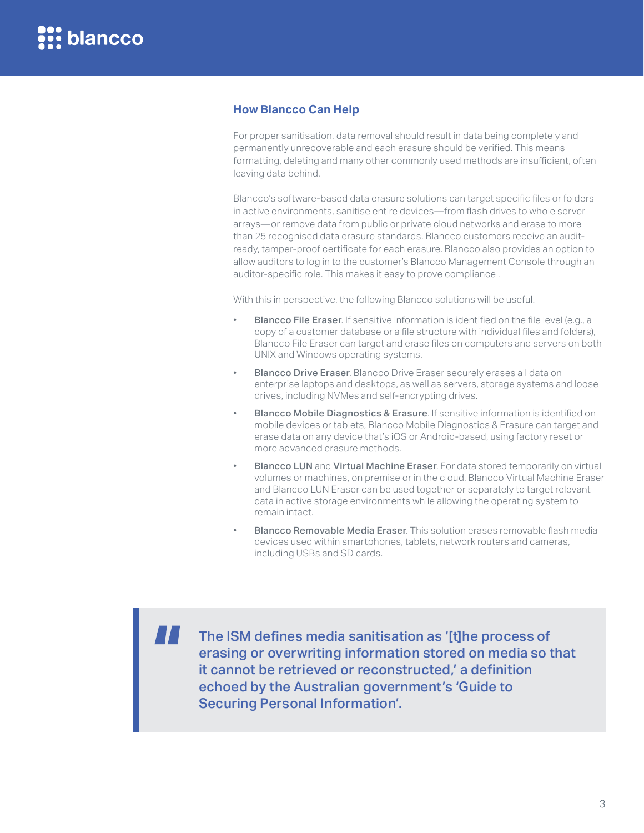#### <span id="page-2-0"></span>**How Blancco Can Help**

For proper sanitisation, data removal should result in data being completely and permanently unrecoverable and each erasure should be verified. This means formatting, deleting and many other commonly used methods are insufficient, often leaving data behind.

Blancco's software-based data erasure solutions can target specific files or folders in active environments, sanitise entire devices—from flash drives to whole server arrays—or remove data from public or private cloud networks and erase to more than 25 recognised data erasure standards. Blancco customers receive an auditready, tamper-proof certificate for each erasure. Blancco also provides an option to allow auditors to log in to the customer's Blancco Management Console through an auditor-specific role. This makes it easy to prove compliance .

With this in perspective, the following Blancco solutions will be useful.

- **Blancco File Eraser**. If sensitive information is identified on the file level (e.g., a copy of a customer database or a file structure with individual files and folders), Blancco File Eraser can target and erase files on computers and servers on both UNIX and Windows operating systems.
- **Blancco Drive Eraser**. Blancco Drive Eraser securely erases all data on enterprise laptops and desktops, as well as servers, storage systems and loose drives, including NVMes and self-encrypting drives.
- Blancco Mobile Diagnostics & Erasure. If sensitive information is identified on mobile devices or tablets, Blancco Mobile Diagnostics & Erasure can target and erase data on any device that's iOS or Android-based, using factory reset or more advanced erasure methods.
- Blancco LUN and Virtual Machine Eraser. For data stored temporarily on virtual volumes or machines, on premise or in the cloud, Blancco Virtual Machine Eraser and Blancco LUN Eraser can be used together or separately to target relevant data in active storage environments while allowing the operating system to remain intact.
- Blancco Removable Media Eraser. This solution erases removable flash media devices used within smartphones, tablets, network routers and cameras, including USBs and SD cards.

The ISM defines media sanitisation as '[t]he process of erasing or overwriting information stored on media so that it cannot be retrieved or reconstructed,' a definition echoed by the Australian government's 'Guide to Securing Personal Information'.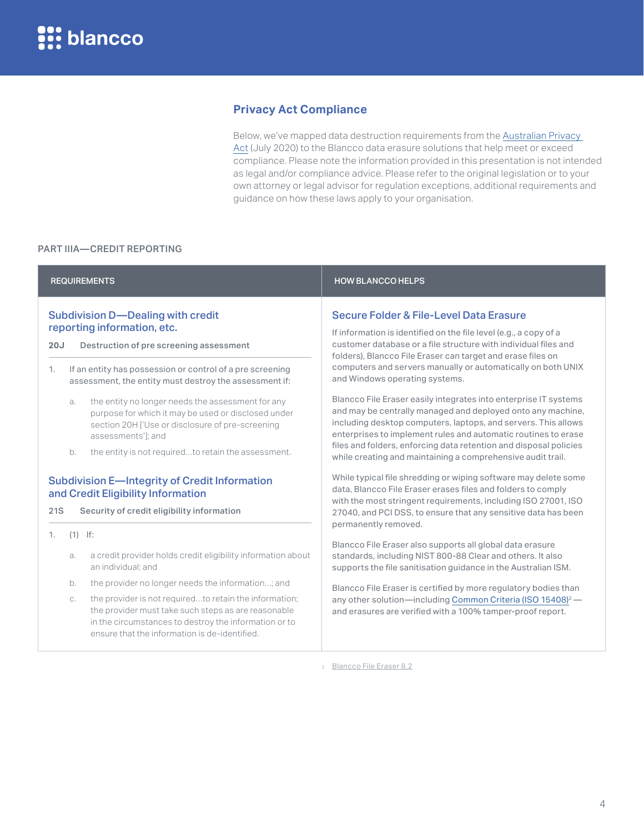#### **Privacy Act Compliance**

<span id="page-3-1"></span>Below, we've mapped data destruction requirements from the [Australian Privacy](https://www.legislation.gov.au/Details/C2020C00237)  [Act](https://www.legislation.gov.au/Details/C2020C00237) (July 2020) to the Blancco data erasure solutions that help meet or exceed compliance. Please note the information provided in this presentation is not intended as legal and/or compliance advice. Please refer to the original legislation or to your own attorney or legal advisor for regulation exceptions, additional requirements and guidance on how these laws apply to your organisation.

#### <span id="page-3-0"></span>PART IIIA—CREDIT REPORTING

ensure that the information is de-identified.

| <b>REQUIREMENTS</b>                                                                                                                                                                                      |                 |                                                                                                                                                                                                                                                                                                     | <b>HOW BLANCCO HELPS</b>                                                                                                                                                                                                                                                                                                                                                                                |
|----------------------------------------------------------------------------------------------------------------------------------------------------------------------------------------------------------|-----------------|-----------------------------------------------------------------------------------------------------------------------------------------------------------------------------------------------------------------------------------------------------------------------------------------------------|---------------------------------------------------------------------------------------------------------------------------------------------------------------------------------------------------------------------------------------------------------------------------------------------------------------------------------------------------------------------------------------------------------|
| <b>Subdivision D-Dealing with credit</b><br>reporting information, etc.<br>20J<br>Destruction of pre screening assessment<br>If an entity has possession or control of a pre screening<br>$\mathbf{1}$ . |                 |                                                                                                                                                                                                                                                                                                     | Secure Folder & File-Level Data Erasure<br>If information is identified on the file level (e.g., a copy of a<br>customer database or a file structure with individual files and<br>folders), Blancco File Eraser can target and erase files on<br>computers and servers manually or automatically on both UNIX<br>and Windows operating systems.                                                        |
|                                                                                                                                                                                                          | a.<br>b.        | assessment, the entity must destroy the assessment if:<br>the entity no longer needs the assessment for any<br>purpose for which it may be used or disclosed under<br>section 20H ['Use or disclosure of pre-screening<br>assessments']; and<br>the entity is not requiredto retain the assessment. | Blancco File Eraser easily integrates into enterprise IT systems<br>and may be centrally managed and deployed onto any machine,<br>including desktop computers, laptops, and servers. This allows<br>enterprises to implement rules and automatic routines to erase<br>files and folders, enforcing data retention and disposal policies<br>while creating and maintaining a comprehensive audit trail. |
| <b>Subdivision E-Integrity of Credit Information</b><br>and Credit Eligibility Information<br>21S<br>Security of credit eligibility information                                                          |                 |                                                                                                                                                                                                                                                                                                     | While typical file shredding or wiping software may delete some<br>data, Blancco File Eraser erases files and folders to comply<br>with the most stringent requirements, including ISO 27001, ISO<br>27040, and PCI DSS, to ensure that any sensitive data has been<br>permanently removed.                                                                                                             |
| 1.                                                                                                                                                                                                       | $(1)$ If:<br>a. | a credit provider holds credit eligibility information about<br>an individual: and                                                                                                                                                                                                                  | Blancco File Eraser also supports all global data erasure<br>standards, including NIST 800-88 Clear and others. It also<br>supports the file sanitisation guidance in the Australian ISM.                                                                                                                                                                                                               |
|                                                                                                                                                                                                          | b.<br>C.        | the provider no longer needs the information; and<br>the provider is not requiredto retain the information;<br>the provider must take such steps as are reasonable<br>in the circumstances to destroy the information or to                                                                         | Blancco File Eraser is certified by more regulatory bodies than<br>any other solution-including Common Criteria (ISO 15408) <sup>2</sup> -<br>and erasures are verified with a 100% tamper-proof report.                                                                                                                                                                                                |

<sup>2</sup> Blancco File Eraser 8.2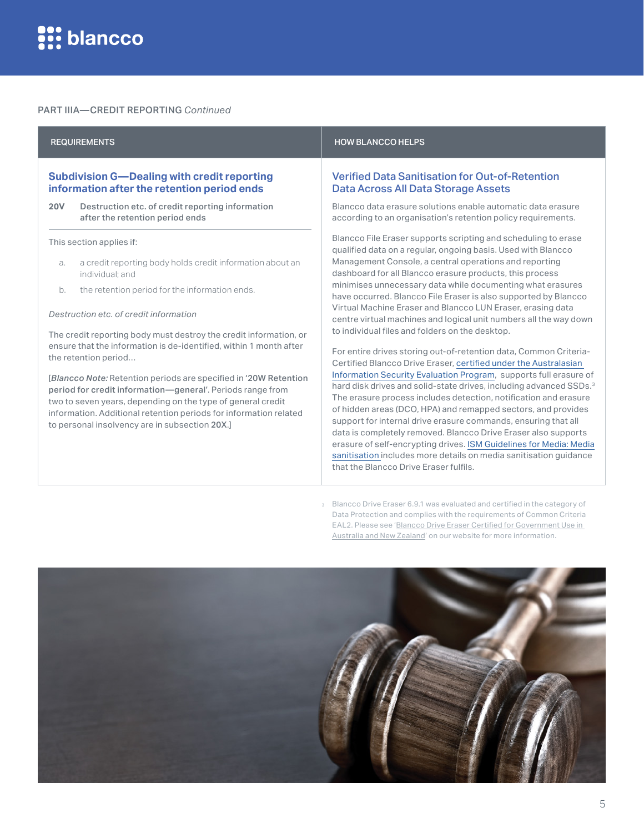#### PART IIIA—CREDIT REPORTING *Continued*

#### REQUIREMENTS AND RESIDENCE IN A REQUIREMENTS AND RESIDENCE OF A REGULAR COMPLETED AND RELATIONS OF A REGULAR COMPLETED AND RELATIONS OF A REGULAR COMPLETED AND RELATIONS OF A REGULAR COMPLETED AND RELATIONS OF A REGULAR CO **Subdivision G—Dealing with credit reporting information after the retention period ends 20V** Destruction etc. of credit reporting information after the retention period ends This section applies if: a. a credit reporting body holds credit information about an individual; and b. the retention period for the information ends. *Destruction etc. of credit information* Verified Data Sanitisation for Out-of-Retention Data Across All Data Storage Assets Blancco data erasure solutions enable automatic data erasure according to an organisation's retention policy requirements. Blancco File Eraser supports scripting and scheduling to erase qualified data on a regular, ongoing basis. Used with Blancco Management Console, a central operations and reporting dashboard for all Blancco erasure products, this process minimises unnecessary data while documenting what erasures have occurred. Blancco File Eraser is also supported by Blancco Virtual Machine Eraser and Blancco LUN Eraser, erasing data centre virtual machines and logical unit numbers all the way down

The credit reporting body must destroy the credit information, or ensure that the information is de-identified, within 1 month after the retention period…

[*Blancco Note:* Retention periods are specified in '20W Retention period for credit information—general'. Periods range from two to seven years, depending on the type of general credit information. Additional retention periods for information related to personal insolvency are in subsection 20X.]

#### For entire drives storing out-of-retention data, Common Criteria-Certified Blancco Drive Eraser, [certified under the Australasian](https://www.commoncriteriaportal.org/files/epfiles/Cert_2020_129_Blancco_os.pdf)  [Information Security Evaluation Program,](https://www.commoncriteriaportal.org/files/epfiles/Cert_2020_129_Blancco_os.pdf) supports full erasure of hard disk drives and solid-state drives, including advanced SSDs.<sup>3</sup> The erasure process includes detection, notification and erasure of hidden areas (DCO, HPA) and remapped sectors, and provides support for internal drive erasure commands, ensuring that all data is completely removed. Blancco Drive Eraser also supports erasure of self-encrypting drives. [ISM Guidelines for Media: Media](#page-7-0)  [sanitisation](#page-7-0) includes more details on media sanitisation guidance that the Blancco Drive Eraser fulfils.

to individual files and folders on the desktop.

Blancco Drive Eraser 6.9.1 was evaluated and certified in the category of Data Protection and complies with the requirements of Common Criteria EAL2. Please see '[Blancco Drive Eraser Certified for Government Use in](https://www.blancco.com/resources/sb-blancco-drive-eraser-certified-for-australasian-government-use/)  [Australia and New Zealand'](https://www.blancco.com/resources/sb-blancco-drive-eraser-certified-for-australasian-government-use/) on our website for more information.

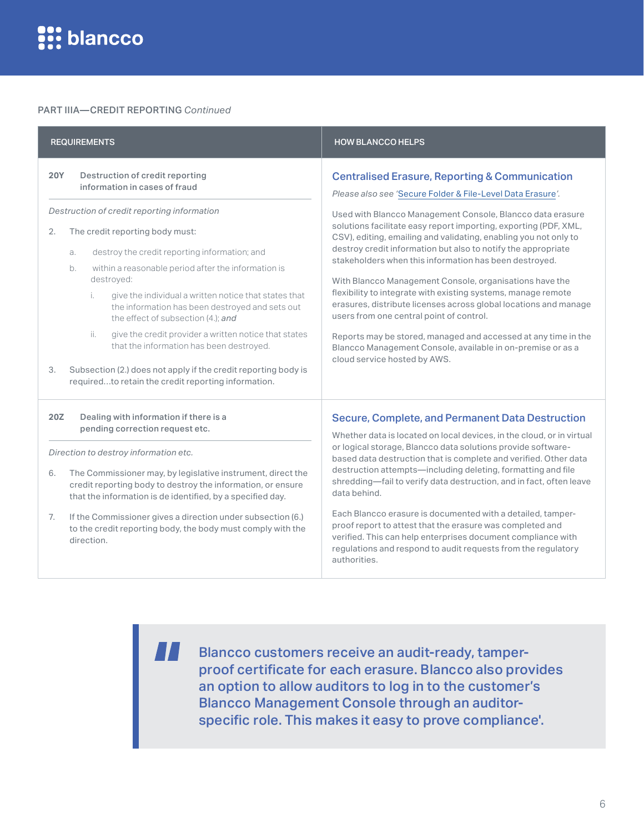#### PART IIIA—CREDIT REPORTING *Continued*

| <b>REQUIREMENTS</b>                                                                                                                                                                                                                                                                                                                                                                                                                                                                                                                                                                                                                                                                                         | <b>HOW BLANCCO HELPS</b>                                                                                                                                                                                                                                                                                                                                                                                                                                                                                                                                                                                                                                                                                                                                                                                                                                              |
|-------------------------------------------------------------------------------------------------------------------------------------------------------------------------------------------------------------------------------------------------------------------------------------------------------------------------------------------------------------------------------------------------------------------------------------------------------------------------------------------------------------------------------------------------------------------------------------------------------------------------------------------------------------------------------------------------------------|-----------------------------------------------------------------------------------------------------------------------------------------------------------------------------------------------------------------------------------------------------------------------------------------------------------------------------------------------------------------------------------------------------------------------------------------------------------------------------------------------------------------------------------------------------------------------------------------------------------------------------------------------------------------------------------------------------------------------------------------------------------------------------------------------------------------------------------------------------------------------|
| Destruction of credit reporting<br><b>20Y</b><br>information in cases of fraud<br>Destruction of credit reporting information<br>The credit reporting body must:<br>2.<br>destroy the credit reporting information; and<br>a.<br>within a reasonable period after the information is<br>b.<br>destroyed:<br>i.<br>give the individual a written notice that states that<br>the information has been destroyed and sets out<br>the effect of subsection (4.); and<br>ii.<br>give the credit provider a written notice that states<br>that the information has been destroyed.<br>Subsection (2.) does not apply if the credit reporting body is<br>3.<br>requiredto retain the credit reporting information. | <b>Centralised Erasure, Reporting &amp; Communication</b><br>Please also see 'Secure Folder & File-Level Data Erasure'.<br>Used with Blancco Management Console, Blancco data erasure<br>solutions facilitate easy report importing, exporting (PDF, XML,<br>CSV), editing, emailing and validating, enabling you not only to<br>destroy credit information but also to notify the appropriate<br>stakeholders when this information has been destroyed.<br>With Blancco Management Console, organisations have the<br>flexibility to integrate with existing systems, manage remote<br>erasures, distribute licenses across global locations and manage<br>users from one central point of control.<br>Reports may be stored, managed and accessed at any time in the<br>Blancco Management Console, available in on-premise or as a<br>cloud service hosted by AWS. |
| Dealing with information if there is a<br>20Z<br>pending correction request etc.<br>Direction to destroy information etc.<br>The Commissioner may, by legislative instrument, direct the<br>6.<br>credit reporting body to destroy the information, or ensure                                                                                                                                                                                                                                                                                                                                                                                                                                               | <b>Secure, Complete, and Permanent Data Destruction</b><br>Whether data is located on local devices, in the cloud, or in virtual<br>or logical storage, Blancco data solutions provide software-<br>based data destruction that is complete and verified. Other data<br>destruction attempts-including deleting, formatting and file<br>shredding-fail to verify data destruction, and in fact, often leave                                                                                                                                                                                                                                                                                                                                                                                                                                                           |

7. If the Commissioner gives a direction under subsection (6.) to the credit reporting body, the body must comply with the direction.

that the information is de identified, by a specified day.

data behind.

Each Blancco erasure is documented with a detailed, tamperproof report to attest that the erasure was completed and verified. This can help enterprises document compliance with regulations and respond to audit requests from the regulatory authorities.

**TI** 

Blancco customers receive an audit-ready, tamperproof certificate for each erasure. Blancco also provides an option to allow auditors to log in to the customer's Blancco Management Console through an auditorspecific role. This makes it easy to prove compliance'.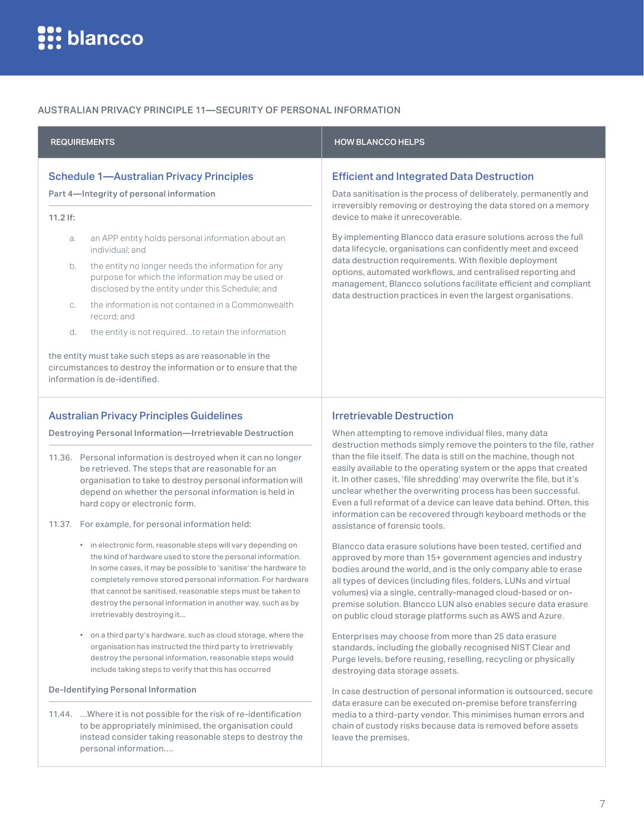#### AUSTRALIAN PRIVACY PRINCIPLE 11—SECURITY OF PERSONAL INFORMATION

|                                                 | <b>REQUIREMENTS</b>                                                                                                                                                                                                                                                                                                                                                                                                          | <b>HOW BLANCCO HELPS</b>                                                                                                                                                                                                                                                                                                                                                                                                                                                                                                                                                                |
|-------------------------------------------------|------------------------------------------------------------------------------------------------------------------------------------------------------------------------------------------------------------------------------------------------------------------------------------------------------------------------------------------------------------------------------------------------------------------------------|-----------------------------------------------------------------------------------------------------------------------------------------------------------------------------------------------------------------------------------------------------------------------------------------------------------------------------------------------------------------------------------------------------------------------------------------------------------------------------------------------------------------------------------------------------------------------------------------|
|                                                 | <b>Schedule 1-Australian Privacy Principles</b><br>Part 4-Integrity of personal information                                                                                                                                                                                                                                                                                                                                  | <b>Efficient and Integrated Data Destruction</b><br>Data sanitisation is the process of deliberately, permanently and                                                                                                                                                                                                                                                                                                                                                                                                                                                                   |
| $11.2$ If:                                      |                                                                                                                                                                                                                                                                                                                                                                                                                              | irreversibly removing or destroying the data stored on a memory<br>device to make it unrecoverable.                                                                                                                                                                                                                                                                                                                                                                                                                                                                                     |
| a.                                              | an APP entity holds personal information about an<br>individual; and                                                                                                                                                                                                                                                                                                                                                         | By implementing Blancco data erasure solutions across the full<br>data lifecycle, organisations can confidently meet and exceed<br>data destruction requirements. With flexible deployment<br>options, automated workflows, and centralised reporting and<br>management, Blancco solutions facilitate efficient and compliant<br>data destruction practices in even the largest organisations.                                                                                                                                                                                          |
| b.                                              | the entity no longer needs the information for any<br>purpose for which the information may be used or<br>disclosed by the entity under this Schedule; and                                                                                                                                                                                                                                                                   |                                                                                                                                                                                                                                                                                                                                                                                                                                                                                                                                                                                         |
| С.                                              | the information is not contained in a Commonwealth<br>record; and                                                                                                                                                                                                                                                                                                                                                            |                                                                                                                                                                                                                                                                                                                                                                                                                                                                                                                                                                                         |
| d.                                              | the entity is not requiredto retain the information                                                                                                                                                                                                                                                                                                                                                                          |                                                                                                                                                                                                                                                                                                                                                                                                                                                                                                                                                                                         |
|                                                 | the entity must take such steps as are reasonable in the<br>circumstances to destroy the information or to ensure that the<br>information is de-identified.                                                                                                                                                                                                                                                                  |                                                                                                                                                                                                                                                                                                                                                                                                                                                                                                                                                                                         |
| <b>Australian Privacy Principles Guidelines</b> |                                                                                                                                                                                                                                                                                                                                                                                                                              | <b>Irretrievable Destruction</b>                                                                                                                                                                                                                                                                                                                                                                                                                                                                                                                                                        |
|                                                 | Destroying Personal Information-Irretrievable Destruction                                                                                                                                                                                                                                                                                                                                                                    | When attempting to remove individual files, many data<br>destruction methods simply remove the pointers to the file, rather<br>than the file itself. The data is still on the machine, though not<br>easily available to the operating system or the apps that created<br>it. In other cases, 'file shredding' may overwrite the file, but it's<br>unclear whether the overwriting process has been successful.<br>Even a full reformat of a device can leave data behind. Often, this<br>information can be recovered through keyboard methods or the<br>assistance of forensic tools. |
|                                                 | 11.36. Personal information is destroyed when it can no longer<br>be retrieved. The steps that are reasonable for an<br>organisation to take to destroy personal information will<br>depend on whether the personal information is held in<br>hard copy or electronic form.<br>11.37. For example, for personal information held:                                                                                            |                                                                                                                                                                                                                                                                                                                                                                                                                                                                                                                                                                                         |
|                                                 | • in electronic form, reasonable steps will vary depending on<br>the kind of hardware used to store the personal information.<br>In some cases, it may be possible to 'sanitise' the hardware to<br>completely remove stored personal information. For hardware<br>that cannot be sanitised, reasonable steps must be taken to<br>destroy the personal information in another way, such as by<br>irretrievably destroying it | Blancco data erasure solutions have been tested, certified and<br>approved by more than 15+ government agencies and industry<br>bodies around the world, and is the only company able to erase<br>all types of devices (including files, folders, LUNs and virtual<br>volumes) via a single, centrally-managed cloud-based or on-<br>premise solution. Blancco LUN also enables secure data erasure<br>on public cloud storage platforms such as AWS and Azure.                                                                                                                         |
|                                                 | on a third party's hardware, such as cloud storage, where the<br>organisation has instructed the third party to irretrievably<br>destroy the personal information, reasonable steps would<br>include taking steps to verify that this has occurred                                                                                                                                                                           | Enterprises may choose from more than 25 data erasure<br>standards, including the globally recognised NIST Clear and<br>Purge levels, before reusing, reselling, recycling or physically<br>destroying data storage assets.                                                                                                                                                                                                                                                                                                                                                             |

#### De-Identifying Personal Information

11.44. …Where it is not possible for the risk of re-identification to be appropriately minimised, the organisation could instead consider taking reasonable steps to destroy the personal information….

In case destruction of personal information is outsourced, secure data erasure can be executed on-premise before transferring media to a third-party vendor. This minimises human errors and chain of custody risks because data is removed before assets

leave the premises.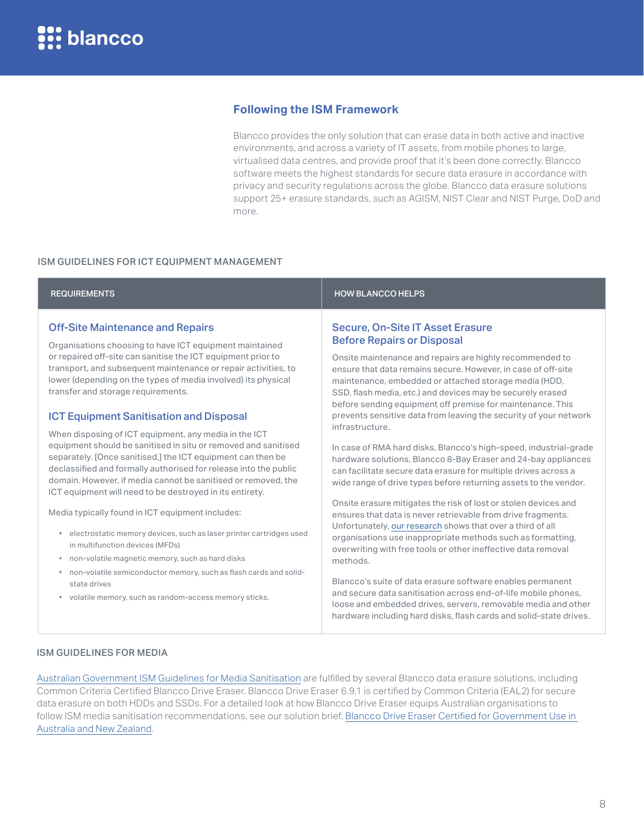#### <span id="page-7-0"></span>**Following the ISM Framework**

Blancco provides the only solution that can erase data in both active and inactive environments, and across a variety of IT assets, from mobile phones to large, virtualised data centres, and provide proof that it's been done correctly. Blancco software meets the highest standards for secure data erasure in accordance with privacy and security regulations across the globe. Blancco data erasure solutions support 25+ erasure standards, such as AGISM, NIST Clear and NIST Purge, DoD and more.

#### ISM GUIDELINES FOR ICT EQUIPMENT MANAGEMENT

#### Off-Site Maintenance and Repairs

Organisations choosing to have ICT equipment maintained or repaired off-site can sanitise the ICT equipment prior to transport, and subsequent maintenance or repair activities, to lower (depending on the types of media involved) its physical transfer and storage requirements.

#### ICT Equipment Sanitisation and Disposal

When disposing of ICT equipment, any media in the ICT equipment should be sanitised in situ or removed and sanitised separately. [Once sanitised,] the ICT equipment can then be declassified and formally authorised for release into the public domain. However, if media cannot be sanitised or removed, the ICT equipment will need to be destroyed in its entirety.

Media typically found in ICT equipment includes:

- electrostatic memory devices, such as laser printer cartridges used in multifunction devices (MFDs)
- non-volatile magnetic memory, such as hard disks
- non-volatile semiconductor memory, such as flash cards and solidstate drives
- volatile memory, such as random-access memory sticks.

#### REQUIREMENTS HOW BLANCCO HELPS

#### Secure, On-Site IT Asset Erasure Before Repairs or Disposal

Onsite maintenance and repairs are highly recommended to ensure that data remains secure. However, in case of off-site maintenance, embedded or attached storage media (HDD, SSD, flash media, etc.) and devices may be securely erased before sending equipment off premise for maintenance. This prevents sensitive data from leaving the security of your network infrastructure.

In case of RMA hard disks, Blancco's high-speed, industrial-grade hardware solutions, Blancco 8-Bay Eraser and 24-bay appliances can facilitate secure data erasure for multiple drives across a wide range of drive types before returning assets to the vendor.

Onsite erasure mitigates the risk of lost or stolen devices and ensures that data is never retrievable from drive fragments. Unfortunately, [our research](https://www.blancco.com/resources/rs-a-false-sense-of-security-inadequate-data-sanitization/) shows that over a third of all organisations use inappropriate methods such as formatting, overwriting with free tools or other ineffective data removal methods.

Blancco's suite of data erasure software enables permanent and secure data sanitisation across end-of-life mobile phones, loose and embedded drives, servers, removable media and other hardware including hard disks, flash cards and solid-state drives.

#### ISM GUIDELINES FOR MEDIA

[Australian Government ISM Guidelines for Media Sanitisation](https://www.cyber.gov.au/acsc/view-all-content/guidance/media-sanitisation) are fulfilled by several Blancco data erasure solutions, including Common Criteria Certified Blancco Drive Eraser. Blancco Drive Eraser 6.9.1 is certified by Common Criteria (EAL2) for secure data erasure on both HDDs and SSDs. For a detailed look at how Blancco Drive Eraser equips Australian organisations to follow ISM media sanitisation recommendations, see our solution brief, [Blancco Drive Eraser Certified for Government Use in](https://www.blancco.com/resources/sb-blancco-drive-eraser-certified-for-australasian-government-use/)  [Australia and New Zealand](https://www.blancco.com/resources/sb-blancco-drive-eraser-certified-for-australasian-government-use/).